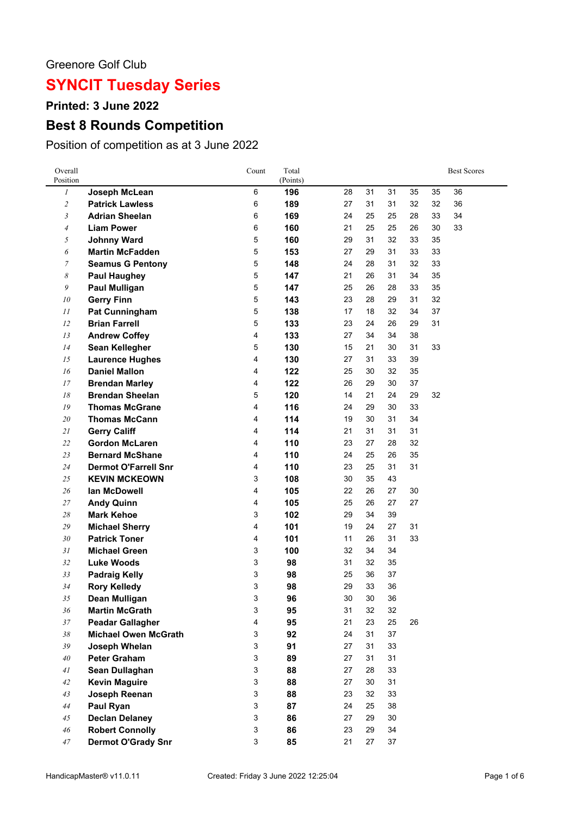### Greenore Golf Club

# **SYNCIT Tuesday Series**

**Printed: 3 June 2022**

## **Best 8 Rounds Competition**

Position of competition as at 3 June 2022

| Overall<br>Position      |                             | Count                     | Total<br>(Points) |    |    |    |    |    | <b>Best Scores</b> |
|--------------------------|-----------------------------|---------------------------|-------------------|----|----|----|----|----|--------------------|
| 1                        | Joseph McLean               | 6                         | 196               | 28 | 31 | 31 | 35 | 35 | 36                 |
| $\overline{c}$           | <b>Patrick Lawless</b>      | 6                         | 189               | 27 | 31 | 31 | 32 | 32 | 36                 |
| 3                        | <b>Adrian Sheelan</b>       | 6                         | 169               | 24 | 25 | 25 | 28 | 33 | 34                 |
| $\overline{\mathcal{A}}$ | <b>Liam Power</b>           | 6                         | 160               | 21 | 25 | 25 | 26 | 30 | 33                 |
| 5                        | <b>Johnny Ward</b>          | 5                         | 160               | 29 | 31 | 32 | 33 | 35 |                    |
| 6                        | <b>Martin McFadden</b>      | 5                         | 153               | 27 | 29 | 31 | 33 | 33 |                    |
| 7                        | <b>Seamus G Pentony</b>     | 5                         | 148               | 24 | 28 | 31 | 32 | 33 |                    |
| 8                        | <b>Paul Haughey</b>         | 5                         | 147               | 21 | 26 | 31 | 34 | 35 |                    |
| 9                        | <b>Paul Mulligan</b>        | 5                         | 147               | 25 | 26 | 28 | 33 | 35 |                    |
| 10                       | <b>Gerry Finn</b>           | 5                         | 143               | 23 | 28 | 29 | 31 | 32 |                    |
| 11                       | Pat Cunningham              | 5                         | 138               | 17 | 18 | 32 | 34 | 37 |                    |
| 12                       | <b>Brian Farrell</b>        | 5                         | 133               | 23 | 24 | 26 | 29 | 31 |                    |
| 13                       | <b>Andrew Coffey</b>        | 4                         | 133               | 27 | 34 | 34 | 38 |    |                    |
| 14                       | <b>Sean Kellegher</b>       | 5                         | 130               | 15 | 21 | 30 | 31 | 33 |                    |
| 15                       | <b>Laurence Hughes</b>      | 4                         | 130               | 27 | 31 | 33 | 39 |    |                    |
| 16                       | <b>Daniel Mallon</b>        | 4                         | 122               | 25 | 30 | 32 | 35 |    |                    |
| 17                       | <b>Brendan Marley</b>       | 4                         | 122               | 26 | 29 | 30 | 37 |    |                    |
| $18\,$                   | <b>Brendan Sheelan</b>      | 5                         | 120               | 14 | 21 | 24 | 29 | 32 |                    |
| ${\it 19}$               | <b>Thomas McGrane</b>       | 4                         | 116               | 24 | 29 | 30 | 33 |    |                    |
| 20                       | <b>Thomas McCann</b>        | 4                         | 114               | 19 | 30 | 31 | 34 |    |                    |
| $21\,$                   | <b>Gerry Califf</b>         | 4                         | 114               | 21 | 31 | 31 | 31 |    |                    |
| 22                       | <b>Gordon McLaren</b>       | 4                         | 110               | 23 | 27 | 28 | 32 |    |                    |
| 23                       | <b>Bernard McShane</b>      | 4                         | 110               | 24 | 25 | 26 | 35 |    |                    |
| 24                       | <b>Dermot O'Farrell Snr</b> | 4                         | 110               | 23 | 25 | 31 | 31 |    |                    |
| $25\,$                   | <b>KEVIN MCKEOWN</b>        | 3                         | 108               | 30 | 35 | 43 |    |    |                    |
| 26                       | lan McDowell                | 4                         | 105               | 22 | 26 | 27 | 30 |    |                    |
| 27                       | <b>Andy Quinn</b>           | 4                         | 105               | 25 | 26 | 27 | 27 |    |                    |
| $28\,$                   | <b>Mark Kehoe</b>           | 3                         | 102               | 29 | 34 | 39 |    |    |                    |
| $29\,$                   | <b>Michael Sherry</b>       | 4                         | 101               | 19 | 24 | 27 | 31 |    |                    |
| 30                       | <b>Patrick Toner</b>        | 4                         | 101               | 11 | 26 | 31 | 33 |    |                    |
| 31                       | <b>Michael Green</b>        | 3                         | 100               | 32 | 34 | 34 |    |    |                    |
| 32                       | <b>Luke Woods</b>           | 3                         | 98                | 31 | 32 | 35 |    |    |                    |
| 33                       | <b>Padraig Kelly</b>        | 3                         | 98                | 25 | 36 | 37 |    |    |                    |
| 34                       | <b>Rory Kelledy</b>         | 3                         | 98                | 29 | 33 | 36 |    |    |                    |
| 35                       | Dean Mulligan               | 3                         | 96                | 30 | 30 | 36 |    |    |                    |
| 36                       | <b>Martin McGrath</b>       | 3                         | 95                | 31 | 32 | 32 |    |    |                    |
| 37                       | <b>Peadar Gallagher</b>     | 4                         | 95                | 21 | 23 | 25 | 26 |    |                    |
| $38\,$                   | <b>Michael Owen McGrath</b> | 3                         | 92                | 24 | 31 | 37 |    |    |                    |
| 39                       | Joseph Whelan               | 3                         | 91                | 27 | 31 | 33 |    |    |                    |
| 40                       | <b>Peter Graham</b>         | 3                         | 89                | 27 | 31 | 31 |    |    |                    |
| 41                       | Sean Dullaghan              | $\ensuremath{\mathsf{3}}$ | 88                | 27 | 28 | 33 |    |    |                    |
| $42\,$                   | <b>Kevin Maguire</b>        | $\ensuremath{\mathsf{3}}$ | 88                | 27 | 30 | 31 |    |    |                    |
| 43                       | Joseph Reenan               | $\ensuremath{\mathsf{3}}$ | 88                | 23 | 32 | 33 |    |    |                    |
| 44                       | Paul Ryan                   | $\ensuremath{\mathsf{3}}$ | 87                | 24 | 25 | 38 |    |    |                    |
| 45                       | <b>Declan Delaney</b>       | 3                         | 86                | 27 | 29 | 30 |    |    |                    |
| $\sqrt{46}$              | <b>Robert Connolly</b>      | 3                         | 86                | 23 | 29 | 34 |    |    |                    |
| 47                       | <b>Dermot O'Grady Snr</b>   | 3                         | 85                | 21 | 27 | 37 |    |    |                    |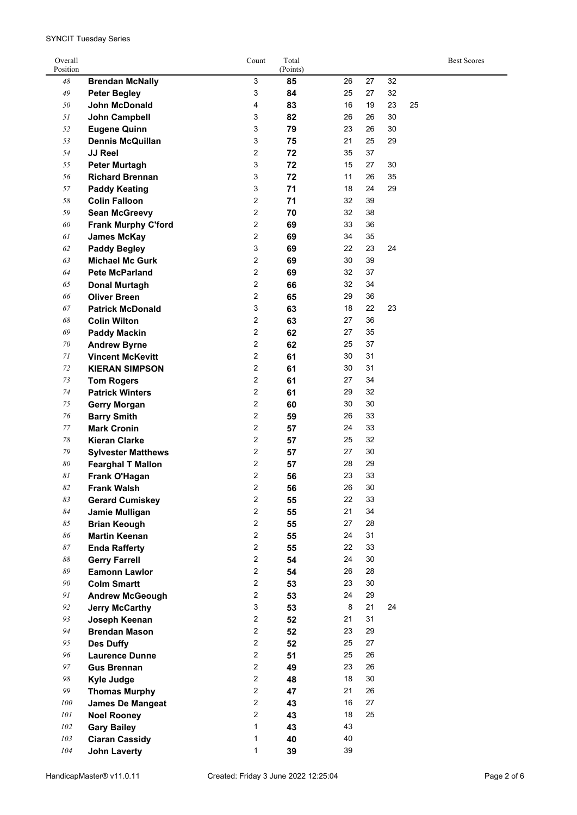SYNCIT Tuesday Series

| Overall<br>Position      |                                              | Count                     | Total<br>(Points) |    |    |    |    | <b>Best Scores</b> |
|--------------------------|----------------------------------------------|---------------------------|-------------------|----|----|----|----|--------------------|
| 48                       | <b>Brendan McNally</b>                       | 3                         | 85                | 26 | 27 | 32 |    |                    |
| $\sqrt{49}$              | <b>Peter Begley</b>                          | 3                         | 84                | 25 | 27 | 32 |    |                    |
| 50                       | <b>John McDonald</b>                         | 4                         | 83                | 16 | 19 | 23 | 25 |                    |
| 51                       | <b>John Campbell</b>                         | 3                         | 82                | 26 | 26 | 30 |    |                    |
| 52                       | <b>Eugene Quinn</b>                          | 3                         | 79                | 23 | 26 | 30 |    |                    |
| 53                       | <b>Dennis McQuillan</b>                      | 3                         | 75                | 21 | 25 | 29 |    |                    |
| 54                       | <b>JJ Reel</b>                               | $\overline{\mathbf{c}}$   | 72                | 35 | 37 |    |    |                    |
| 55                       | Peter Murtagh                                | 3                         | 72                | 15 | 27 | 30 |    |                    |
| 56                       | <b>Richard Brennan</b>                       | 3                         | 72                | 11 | 26 | 35 |    |                    |
| 57                       |                                              | 3                         | 71                | 18 | 24 | 29 |    |                    |
| 58                       | <b>Paddy Keating</b><br><b>Colin Falloon</b> | $\overline{\mathbf{c}}$   | 71                | 32 | 39 |    |    |                    |
| 59                       |                                              | 2                         | 70                | 32 | 38 |    |    |                    |
| 60                       | <b>Sean McGreevy</b>                         | $\overline{\mathbf{c}}$   | 69                | 33 | 36 |    |    |                    |
| 61                       | <b>Frank Murphy C'ford</b>                   | 2                         |                   | 34 | 35 |    |    |                    |
|                          | <b>James McKay</b>                           |                           | 69                |    | 23 | 24 |    |                    |
| 62                       | <b>Paddy Begley</b>                          | 3                         | 69                | 22 |    |    |    |                    |
| 63                       | <b>Michael Mc Gurk</b>                       | 2                         | 69                | 30 | 39 |    |    |                    |
| 64                       | <b>Pete McParland</b>                        | 2                         | 69                | 32 | 37 |    |    |                    |
| 65                       | <b>Donal Murtagh</b>                         | 2                         | 66                | 32 | 34 |    |    |                    |
| 66                       | <b>Oliver Breen</b>                          | $\overline{2}$            | 65                | 29 | 36 |    |    |                    |
| 67                       | <b>Patrick McDonald</b>                      | 3                         | 63                | 18 | 22 | 23 |    |                    |
| 68                       | <b>Colin Wilton</b>                          | $\overline{\mathbf{c}}$   | 63                | 27 | 36 |    |    |                    |
| 69                       | <b>Paddy Mackin</b>                          | $\mathbf 2$               | 62                | 27 | 35 |    |    |                    |
| 70                       | <b>Andrew Byrne</b>                          | $\mathbf 2$               | 62                | 25 | 37 |    |    |                    |
| 71                       | <b>Vincent McKevitt</b>                      | $\overline{\mathbf{c}}$   | 61                | 30 | 31 |    |    |                    |
| 72                       | <b>KIERAN SIMPSON</b>                        | 2                         | 61                | 30 | 31 |    |    |                    |
| 73                       | <b>Tom Rogers</b>                            | 2                         | 61                | 27 | 34 |    |    |                    |
| 74                       | <b>Patrick Winters</b>                       | 2                         | 61                | 29 | 32 |    |    |                    |
| 75                       | <b>Gerry Morgan</b>                          | 2                         | 60                | 30 | 30 |    |    |                    |
| 76                       | <b>Barry Smith</b>                           | 2                         | 59                | 26 | 33 |    |    |                    |
| 77                       | <b>Mark Cronin</b>                           | 2                         | 57                | 24 | 33 |    |    |                    |
| 78                       | <b>Kieran Clarke</b>                         | $\overline{\mathbf{c}}$   | 57                | 25 | 32 |    |    |                    |
| 79                       | <b>Sylvester Matthews</b>                    | $\overline{\mathbf{c}}$   | 57                | 27 | 30 |    |    |                    |
| 80                       | <b>Fearghal T Mallon</b>                     | 2                         | 57                | 28 | 29 |    |    |                    |
| 81                       | Frank O'Hagan                                | 2                         | 56                | 23 | 33 |    |    |                    |
| $\it 82$                 | <b>Frank Walsh</b>                           | 2                         | 56                | 26 | 30 |    |    |                    |
| 83                       | <b>Gerard Cumiskey</b>                       | $\overline{\mathbf{c}}$   | 55                | 22 | 33 |    |    |                    |
| 84                       | Jamie Mulligan                               | $\overline{c}$            | 55                | 21 | 34 |    |    |                    |
| 85                       | <b>Brian Keough</b>                          | $\overline{c}$            | 55                | 27 | 28 |    |    |                    |
| 86                       | <b>Martin Keenan</b>                         | $\overline{c}$            | 55                | 24 | 31 |    |    |                    |
| $\mathcal{87}$           | <b>Enda Rafferty</b>                         | $\overline{c}$            | 55                | 22 | 33 |    |    |                    |
| $\mathcal{S}\mathcal{S}$ | <b>Gerry Farrell</b>                         | $\overline{c}$            | 54                | 24 | 30 |    |    |                    |
| 89                       | <b>Eamonn Lawlor</b>                         | $\overline{c}$            | 54                | 26 | 28 |    |    |                    |
| 90                       | <b>Colm Smartt</b>                           | $\overline{c}$            | 53                | 23 | 30 |    |    |                    |
| 91                       | <b>Andrew McGeough</b>                       | $\overline{a}$            | 53                | 24 | 29 |    |    |                    |
| 92                       | <b>Jerry McCarthy</b>                        | $\ensuremath{\mathsf{3}}$ | 53                | 8  | 21 | 24 |    |                    |
| 93                       | Joseph Keenan                                | 2                         | 52                | 21 | 31 |    |    |                    |
| 94                       | <b>Brendan Mason</b>                         | $\overline{c}$            | 52                | 23 | 29 |    |    |                    |
| 95                       | <b>Des Duffy</b>                             | $\overline{c}$            | 52                | 25 | 27 |    |    |                    |
| 96                       | <b>Laurence Dunne</b>                        | $\mathbf 2$               | 51                | 25 | 26 |    |    |                    |
| 97                       | <b>Gus Brennan</b>                           | $\overline{c}$            | 49                | 23 | 26 |    |    |                    |
| $98\,$                   | <b>Kyle Judge</b>                            | $\overline{c}$            | 48                | 18 | 30 |    |    |                    |
| 99                       | <b>Thomas Murphy</b>                         | $\overline{c}$            | 47                | 21 | 26 |    |    |                    |
| 100                      | <b>James De Mangeat</b>                      | $\overline{a}$            | 43                | 16 | 27 |    |    |                    |
| 101                      | <b>Noel Rooney</b>                           | $\overline{a}$            | 43                | 18 | 25 |    |    |                    |
| 102                      | <b>Gary Bailey</b>                           | 1                         | 43                | 43 |    |    |    |                    |
| 103                      | <b>Ciaran Cassidy</b>                        | 1                         | 40                | 40 |    |    |    |                    |
| 104                      | <b>John Laverty</b>                          | $\mathbf{1}$              | 39                | 39 |    |    |    |                    |
|                          |                                              |                           |                   |    |    |    |    |                    |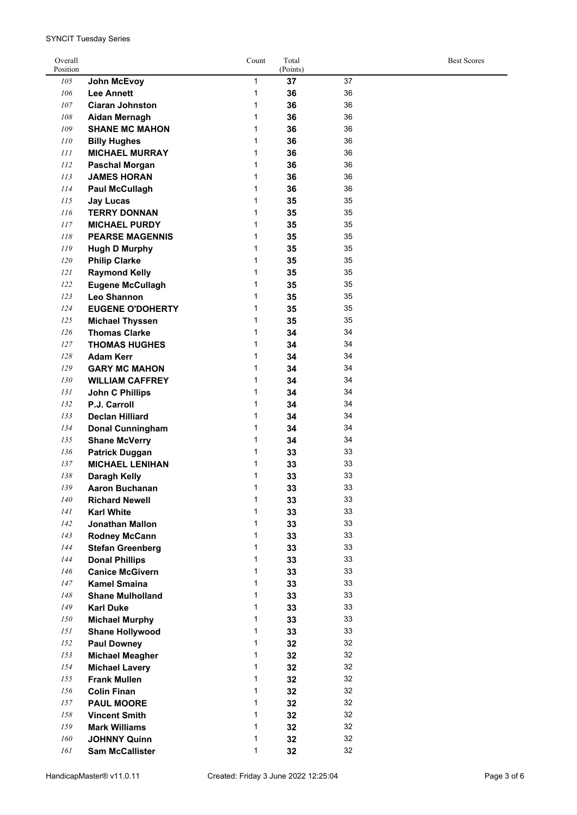| Overall<br>Position |                         | Count        | Total<br>(Points) |    | <b>Best Scores</b> |
|---------------------|-------------------------|--------------|-------------------|----|--------------------|
| 105                 | <b>John McEvoy</b>      | $\mathbf{1}$ | 37                | 37 |                    |
| 106                 | <b>Lee Annett</b>       | 1            | 36                | 36 |                    |
| 107                 | <b>Ciaran Johnston</b>  | 1            | 36                | 36 |                    |
| 108                 | <b>Aidan Mernagh</b>    | 1            | 36                | 36 |                    |
| 109                 | <b>SHANE MC MAHON</b>   | 1            | 36                | 36 |                    |
| 110                 | <b>Billy Hughes</b>     | 1            | 36                | 36 |                    |
| 111                 | <b>MICHAEL MURRAY</b>   | 1            | 36                | 36 |                    |
| 112                 | <b>Paschal Morgan</b>   | 1            | 36                | 36 |                    |
| 113                 | <b>JAMES HORAN</b>      | 1            | 36                | 36 |                    |
| 114                 | <b>Paul McCullagh</b>   | 1            | 36                | 36 |                    |
| 115                 | <b>Jay Lucas</b>        | 1            | 35                | 35 |                    |
| 116                 | <b>TERRY DONNAN</b>     | 1            | 35                | 35 |                    |
| 117                 | <b>MICHAEL PURDY</b>    | 1            | 35                | 35 |                    |
| $\it 118$           | <b>PEARSE MAGENNIS</b>  | 1            | 35                | 35 |                    |
| 119                 | <b>Hugh D Murphy</b>    | 1            | 35                | 35 |                    |
| 120                 | <b>Philip Clarke</b>    | 1            | 35                | 35 |                    |
| 121                 | <b>Raymond Kelly</b>    | 1            | 35                | 35 |                    |
| 122                 | <b>Eugene McCullagh</b> | 1            | 35                | 35 |                    |
| 123                 | <b>Leo Shannon</b>      | 1            | 35                | 35 |                    |
| 124                 | <b>EUGENE O'DOHERTY</b> | 1            | 35                | 35 |                    |
| 125                 | <b>Michael Thyssen</b>  | 1            | 35                | 35 |                    |
| 126                 | <b>Thomas Clarke</b>    | 1            | 34                | 34 |                    |
|                     |                         |              |                   | 34 |                    |
| 127                 | <b>THOMAS HUGHES</b>    | 1            | 34                |    |                    |
| 128                 | <b>Adam Kerr</b>        | 1            | 34                | 34 |                    |
| 129                 | <b>GARY MC MAHON</b>    | 1            | 34                | 34 |                    |
| 130                 | <b>WILLIAM CAFFREY</b>  | 1            | 34                | 34 |                    |
| 131                 | <b>John C Phillips</b>  | 1            | 34                | 34 |                    |
| 132                 | P.J. Carroll            | 1            | 34                | 34 |                    |
| 133                 | <b>Declan Hilliard</b>  | 1            | 34                | 34 |                    |
| 134                 | <b>Donal Cunningham</b> | 1            | 34                | 34 |                    |
| 135                 | <b>Shane McVerry</b>    | 1            | 34                | 34 |                    |
| 136                 | <b>Patrick Duggan</b>   | 1            | 33                | 33 |                    |
| 137                 | <b>MICHAEL LENIHAN</b>  | 1            | 33                | 33 |                    |
| 138                 | Daragh Kelly            | 1            | 33                | 33 |                    |
| 139                 | <b>Aaron Buchanan</b>   | 1            | 33                | 33 |                    |
| 140                 | <b>Richard Newell</b>   | 1            | 33                | 33 |                    |
| 141                 | <b>Karl White</b>       | 1            | 33                | 33 |                    |
| 142                 | <b>Jonathan Mallon</b>  | 1            | 33                | 33 |                    |
| 143                 | <b>Rodney McCann</b>    | 1            | 33                | 33 |                    |
| 144                 | <b>Stefan Greenberg</b> | $\mathbf{1}$ | 33                | 33 |                    |
| 144                 | <b>Donal Phillips</b>   | $\mathbf{1}$ | 33                | 33 |                    |
| 146                 | <b>Canice McGivern</b>  | 1            | 33                | 33 |                    |
| 147                 | <b>Kamel Smaina</b>     | $\mathbf{1}$ | 33                | 33 |                    |
| $148\,$             | <b>Shane Mulholland</b> | 1            | 33                | 33 |                    |
| 149                 | <b>Karl Duke</b>        | 1            | 33                | 33 |                    |
| 150                 | <b>Michael Murphy</b>   | 1            | 33                | 33 |                    |
| 151                 | <b>Shane Hollywood</b>  | 1            | 33                | 33 |                    |
| 152                 | <b>Paul Downey</b>      | $\mathbf{1}$ | 32                | 32 |                    |
| 153                 | <b>Michael Meagher</b>  | $\mathbf{1}$ | 32                | 32 |                    |
| 154                 | <b>Michael Lavery</b>   | $\mathbf{1}$ | 32                | 32 |                    |
| 155                 | <b>Frank Mullen</b>     | 1            | 32                | 32 |                    |
| 156                 | <b>Colin Finan</b>      | $\mathbf{1}$ | 32                | 32 |                    |
| 157                 | <b>PAUL MOORE</b>       | 1            | 32                | 32 |                    |
| 158                 | <b>Vincent Smith</b>    | 1            | 32                | 32 |                    |
| 159                 | <b>Mark Williams</b>    | 1            | 32                | 32 |                    |
| $160\,$             | <b>JOHNNY Quinn</b>     | 1            | 32                | 32 |                    |
| 161                 | <b>Sam McCallister</b>  | 1            | 32                | 32 |                    |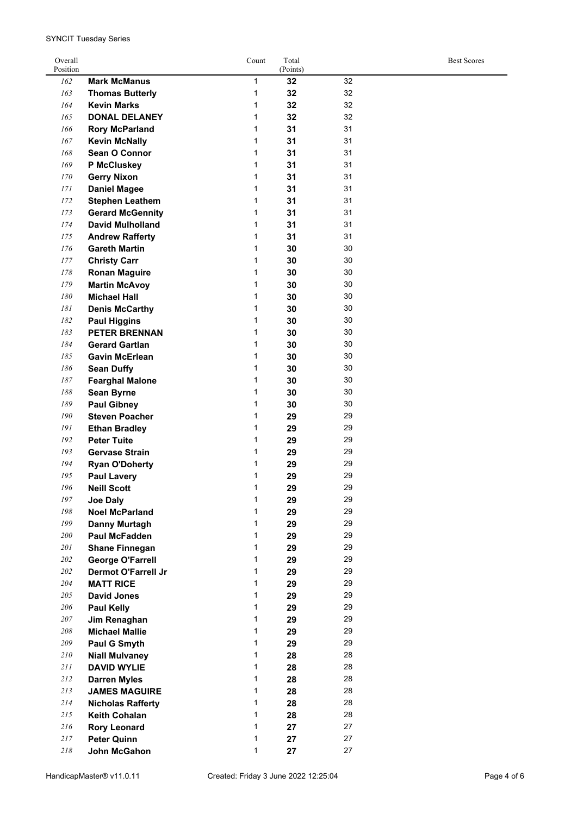| Overall<br>Position |                            | Count | Total<br>(Points) |    | <b>Best Scores</b> |
|---------------------|----------------------------|-------|-------------------|----|--------------------|
| 162                 | <b>Mark McManus</b>        | 1     | 32                | 32 |                    |
| 163                 | <b>Thomas Butterly</b>     | 1     | 32                | 32 |                    |
| 164                 | <b>Kevin Marks</b>         | 1     | 32                | 32 |                    |
| 165                 | <b>DONAL DELANEY</b>       | 1     | 32                | 32 |                    |
| 166                 | <b>Rory McParland</b>      | 1     | 31                | 31 |                    |
| 167                 | <b>Kevin McNally</b>       | 1     | 31                | 31 |                    |
| 168                 | Sean O Connor              | 1     | 31                | 31 |                    |
| 169                 | P McCluskey                | 1     | 31                | 31 |                    |
| 170                 | <b>Gerry Nixon</b>         | 1     | 31                | 31 |                    |
| 171                 | <b>Daniel Magee</b>        | 1     | 31                | 31 |                    |
| 172                 | <b>Stephen Leathem</b>     | 1     | 31                | 31 |                    |
| 173                 | <b>Gerard McGennity</b>    | 1     | 31                | 31 |                    |
| 174                 | <b>David Mulholland</b>    | 1     | 31                | 31 |                    |
| 175                 | <b>Andrew Rafferty</b>     | 1     | 31                | 31 |                    |
| 176                 | <b>Gareth Martin</b>       | 1     | 30                | 30 |                    |
| 177                 | <b>Christy Carr</b>        | 1     | 30                | 30 |                    |
| 178                 | <b>Ronan Maguire</b>       | 1     | 30                | 30 |                    |
| 179                 | <b>Martin McAvoy</b>       | 1     | 30                | 30 |                    |
| 180                 | <b>Michael Hall</b>        | 1     | 30                | 30 |                    |
| 181                 | <b>Denis McCarthy</b>      | 1     | 30                | 30 |                    |
| 182                 | <b>Paul Higgins</b>        | 1     | 30                | 30 |                    |
| 183                 | <b>PETER BRENNAN</b>       | 1     | 30                | 30 |                    |
| 184                 | <b>Gerard Gartlan</b>      | 1     | 30                | 30 |                    |
| 185                 | <b>Gavin McErlean</b>      | 1     | 30                | 30 |                    |
| 186                 | <b>Sean Duffy</b>          | 1     | 30                | 30 |                    |
| 187                 | <b>Fearghal Malone</b>     | 1     | 30                | 30 |                    |
| 188                 | <b>Sean Byrne</b>          | 1     | 30                | 30 |                    |
| 189                 | <b>Paul Gibney</b>         | 1     | 30                | 30 |                    |
| 190                 | <b>Steven Poacher</b>      | 1     | 29                | 29 |                    |
| 191                 | <b>Ethan Bradley</b>       | 1     | 29                | 29 |                    |
| 192                 | <b>Peter Tuite</b>         | 1     | 29                | 29 |                    |
| 193                 | <b>Gervase Strain</b>      | 1     | 29                | 29 |                    |
| 194                 | <b>Ryan O'Doherty</b>      | 1     | 29                | 29 |                    |
| 195                 | <b>Paul Lavery</b>         | 1     | 29                | 29 |                    |
| 196                 | <b>Neill Scott</b>         | 1     | 29                | 29 |                    |
| 197                 | <b>Joe Daly</b>            | 1     | 29                | 29 |                    |
| 198                 | <b>Noel McParland</b>      | 1     | 29                | 29 |                    |
| 199                 | <b>Danny Murtagh</b>       | 1     | 29                | 29 |                    |
| 200                 | Paul McFadden              | 1     | 29                | 29 |                    |
| 201                 | <b>Shane Finnegan</b>      | 1     | 29                | 29 |                    |
| 202                 | <b>George O'Farrell</b>    | 1     | 29                | 29 |                    |
| 202                 | <b>Dermot O'Farrell Jr</b> | 1     | 29                | 29 |                    |
| 204                 | <b>MATT RICE</b>           | 1     | 29                | 29 |                    |
| 205                 | <b>David Jones</b>         | 1     | 29                | 29 |                    |
| 206                 | <b>Paul Kelly</b>          | 1     | 29                | 29 |                    |
| 207                 | Jim Renaghan               | 1     | 29                | 29 |                    |
| 208                 | <b>Michael Mallie</b>      | 1     | 29                | 29 |                    |
| 209                 | Paul G Smyth               | 1     | 29                | 29 |                    |
| 210                 | <b>Niall Mulvaney</b>      | 1     | 28                | 28 |                    |
| 211                 | <b>DAVID WYLIE</b>         | 1     | 28                | 28 |                    |
| 212                 | <b>Darren Myles</b>        | 1     | 28                | 28 |                    |
| 213                 | <b>JAMES MAGUIRE</b>       | 1     | 28                | 28 |                    |
| 214                 | <b>Nicholas Rafferty</b>   | 1     | 28                | 28 |                    |
| 215                 | <b>Keith Cohalan</b>       | 1     | 28                | 28 |                    |
| 216                 | <b>Rory Leonard</b>        | 1     | 27                | 27 |                    |
| 217                 | <b>Peter Quinn</b>         | 1     | 27                | 27 |                    |
| 218                 | John McGahon               | 1     | 27                | 27 |                    |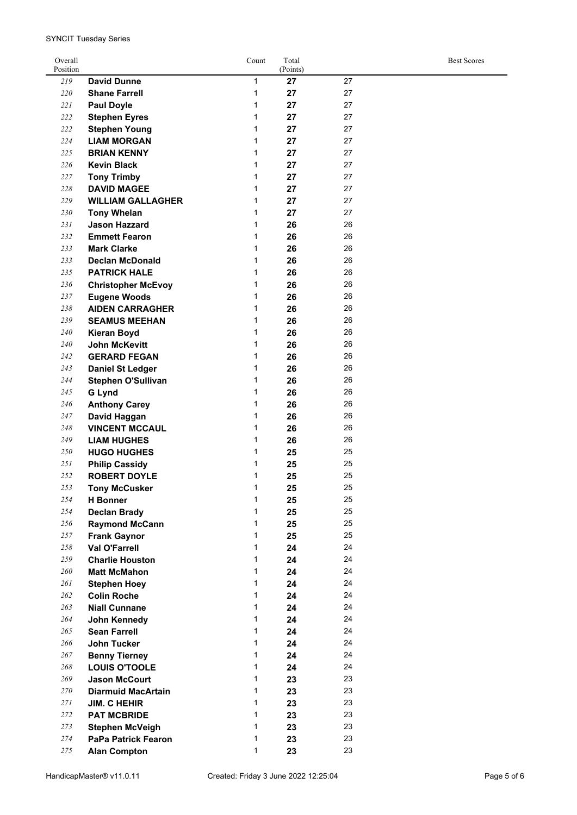| Overall<br>Position |                                            | Count | Total<br>(Points) |    | <b>Best Scores</b> |
|---------------------|--------------------------------------------|-------|-------------------|----|--------------------|
| 219                 | <b>David Dunne</b>                         | 1     | 27                | 27 |                    |
| 220                 | <b>Shane Farrell</b>                       | 1     | 27                | 27 |                    |
| 221                 | <b>Paul Doyle</b>                          | 1     | 27                | 27 |                    |
| 222                 | <b>Stephen Eyres</b>                       | 1     | 27                | 27 |                    |
| 222                 | <b>Stephen Young</b>                       | 1     | 27                | 27 |                    |
| 224                 | <b>LIAM MORGAN</b>                         | 1     | 27                | 27 |                    |
| 225                 | <b>BRIAN KENNY</b>                         | 1     | 27                | 27 |                    |
| 226                 | <b>Kevin Black</b>                         | 1     | 27                | 27 |                    |
| 227                 |                                            | 1     | 27                | 27 |                    |
| 228                 | <b>Tony Trimby</b><br><b>DAVID MAGEE</b>   | 1     |                   | 27 |                    |
| 229                 |                                            | 1     | 27                | 27 |                    |
|                     | <b>WILLIAM GALLAGHER</b>                   |       | 27                |    |                    |
| 230                 | <b>Tony Whelan</b>                         | 1     | 27                | 27 |                    |
| 231                 | <b>Jason Hazzard</b>                       | 1     | 26                | 26 |                    |
| 232                 | <b>Emmett Fearon</b>                       | 1     | 26                | 26 |                    |
| 233                 | <b>Mark Clarke</b>                         | 1     | 26                | 26 |                    |
| 233                 | <b>Declan McDonald</b>                     | 1     | 26                | 26 |                    |
| 235                 | <b>PATRICK HALE</b>                        | 1     | 26                | 26 |                    |
| 236                 | <b>Christopher McEvoy</b>                  | 1     | 26                | 26 |                    |
| 237                 | <b>Eugene Woods</b>                        | 1     | 26                | 26 |                    |
| 238                 | <b>AIDEN CARRAGHER</b>                     | 1     | 26                | 26 |                    |
| 239                 | <b>SEAMUS MEEHAN</b>                       | 1     | 26                | 26 |                    |
| 240                 | <b>Kieran Boyd</b>                         | 1     | 26                | 26 |                    |
| 240                 | <b>John McKevitt</b>                       | 1     | 26                | 26 |                    |
| 242                 | <b>GERARD FEGAN</b>                        | 1     | 26                | 26 |                    |
| 243                 | <b>Daniel St Ledger</b>                    | 1     | 26                | 26 |                    |
| 244                 | <b>Stephen O'Sullivan</b>                  | 1     | 26                | 26 |                    |
| 245                 | <b>G Lynd</b>                              | 1     | 26                | 26 |                    |
| 246                 | <b>Anthony Carey</b>                       | 1     | 26                | 26 |                    |
| 247                 | David Haggan                               | 1     | 26                | 26 |                    |
| 248                 | <b>VINCENT MCCAUL</b>                      | 1     | 26                | 26 |                    |
| 249                 | <b>LIAM HUGHES</b>                         | 1     | 26                | 26 |                    |
| 250                 | <b>HUGO HUGHES</b>                         | 1     | 25                | 25 |                    |
| 251                 | <b>Philip Cassidy</b>                      | 1     | 25                | 25 |                    |
| 252                 | <b>ROBERT DOYLE</b>                        | 1     | 25                | 25 |                    |
| 253                 | <b>Tony McCusker</b>                       | 1     | 25                | 25 |                    |
| 254                 | <b>H</b> Bonner                            | 1     | 25                | 25 |                    |
| 254                 | <b>Declan Brady</b>                        | 1     | 25                | 25 |                    |
| 256                 | <b>Raymond McCann</b>                      | 1     | 25                | 25 |                    |
| 257                 | <b>Frank Gaynor</b>                        | 1     | 25                | 25 |                    |
| 258                 | <b>Val O'Farrell</b>                       | 1     | 24                | 24 |                    |
| 259                 | <b>Charlie Houston</b>                     | 1     | 24                | 24 |                    |
| 260                 |                                            | 1     | 24                | 24 |                    |
| 261                 | <b>Matt McMahon</b><br><b>Stephen Hoey</b> | 1     | 24                | 24 |                    |
|                     |                                            | 1     |                   | 24 |                    |
| 262                 | <b>Colin Roche</b>                         |       | 24                | 24 |                    |
| 263                 | <b>Niall Cunnane</b>                       | 1     | 24                |    |                    |
| 264                 | John Kennedy                               | 1     | 24                | 24 |                    |
| 265                 | <b>Sean Farrell</b>                        | 1     | 24                | 24 |                    |
| 266                 | <b>John Tucker</b>                         | 1     | 24                | 24 |                    |
| 267                 | <b>Benny Tierney</b>                       | 1     | 24                | 24 |                    |
| 268                 | <b>LOUIS O'TOOLE</b>                       | 1     | 24                | 24 |                    |
| 269                 | <b>Jason McCourt</b>                       | 1     | 23                | 23 |                    |
| 270                 | <b>Diarmuid MacArtain</b>                  | 1     | 23                | 23 |                    |
| 271                 | <b>JIM. C HEHIR</b>                        | 1     | 23                | 23 |                    |
| 272                 | <b>PAT MCBRIDE</b>                         | 1     | 23                | 23 |                    |
| 273                 | <b>Stephen McVeigh</b>                     | 1     | 23                | 23 |                    |
| 274                 | <b>PaPa Patrick Fearon</b>                 | 1     | 23                | 23 |                    |
| 275                 | <b>Alan Compton</b>                        | 1     | 23                | 23 |                    |